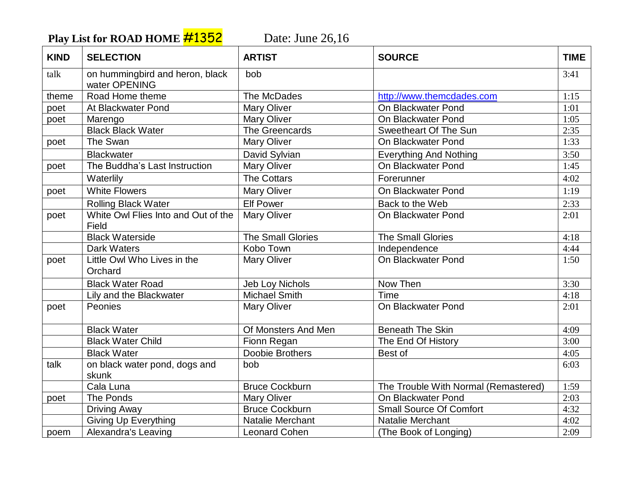Play List for ROAD HOME **#1352** Date: June 26,16

| <b>KIND</b> | <b>SELECTION</b>                                 | <b>ARTIST</b>          | <b>SOURCE</b>                        | <b>TIME</b> |
|-------------|--------------------------------------------------|------------------------|--------------------------------------|-------------|
| talk        | on hummingbird and heron, black<br>water OPENING | bob                    |                                      | 3:41        |
| theme       | Road Home theme                                  | The McDades            | http://www.themcdades.com            | 1:15        |
| poet        | At Blackwater Pond                               | <b>Mary Oliver</b>     | On Blackwater Pond                   | 1:01        |
| poet        | Marengo                                          | <b>Mary Oliver</b>     | On Blackwater Pond                   | 1:05        |
|             | <b>Black Black Water</b>                         | The Greencards         | Sweetheart Of The Sun                | 2:35        |
| poet        | The Swan                                         | <b>Mary Oliver</b>     | On Blackwater Pond                   | 1:33        |
|             | <b>Blackwater</b>                                | David Sylvian          | <b>Everything And Nothing</b>        | 3:50        |
| poet        | The Buddha's Last Instruction                    | <b>Mary Oliver</b>     | On Blackwater Pond                   | 1:45        |
|             | Waterlily                                        | <b>The Cottars</b>     | Forerunner                           | 4:02        |
| poet        | <b>White Flowers</b>                             | <b>Mary Oliver</b>     | On Blackwater Pond                   | 1:19        |
|             | <b>Rolling Black Water</b>                       | <b>Elf Power</b>       | Back to the Web                      | 2:33        |
| poet        | White Owl Flies Into and Out of the<br>Field     | <b>Mary Oliver</b>     | On Blackwater Pond                   | 2:01        |
|             | <b>Black Waterside</b>                           | The Small Glories      | <b>The Small Glories</b>             | 4:18        |
|             | <b>Dark Waters</b>                               | Kobo Town              | Independence                         | 4:44        |
| poet        | Little Owl Who Lives in the<br>Orchard           | Mary Oliver            | On Blackwater Pond                   | 1:50        |
|             | <b>Black Water Road</b>                          | <b>Jeb Loy Nichols</b> | Now Then                             | 3:30        |
|             | Lily and the Blackwater                          | <b>Michael Smith</b>   | Time                                 | 4:18        |
| poet        | Peonies                                          | <b>Mary Oliver</b>     | On Blackwater Pond                   | 2:01        |
|             | <b>Black Water</b>                               | Of Monsters And Men    | <b>Beneath The Skin</b>              | 4:09        |
|             | <b>Black Water Child</b>                         | Fionn Regan            | The End Of History                   | 3:00        |
|             | <b>Black Water</b>                               | Doobie Brothers        | Best of                              | 4:05        |
| talk        | on black water pond, dogs and                    | bob                    |                                      | 6:03        |
|             | skunk                                            |                        |                                      |             |
|             | Cala Luna                                        | <b>Bruce Cockburn</b>  | The Trouble With Normal (Remastered) | 1:59        |
| poet        | The Ponds                                        | <b>Mary Oliver</b>     | On Blackwater Pond                   | 2:03        |
|             | <b>Driving Away</b>                              | <b>Bruce Cockburn</b>  | <b>Small Source Of Comfort</b>       | 4:32        |
|             | <b>Giving Up Everything</b>                      | Natalie Merchant       | Natalie Merchant                     | 4:02        |
| poem        | Alexandra's Leaving                              | <b>Leonard Cohen</b>   | (The Book of Longing)                | 2:09        |